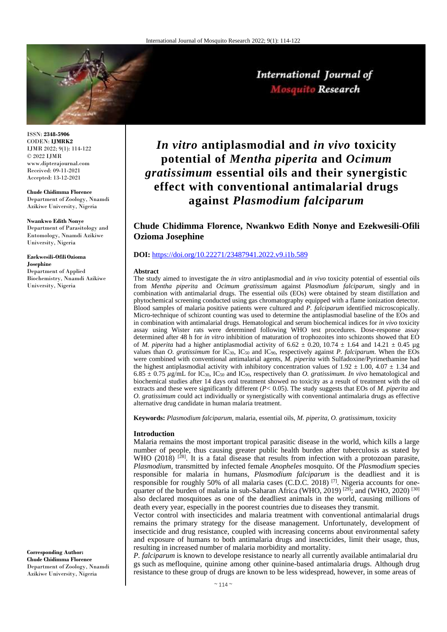

ISSN: **2348-5906** CODEN: **IJMRK2** IJMR 2022; 9(1): 114-122 © 2022 IJMR www.dipterajournal.com Received: 09-11-2021 Accepted: 13-12-2021

**Chude Chidimma Florence** Department of Zoology, Nnamdi Azikiwe University, Nigeria

**Nwankwo Edith Nonye** Department of Parasitology and Entomology, Nnamdi Azikiwe University, Nigeria

**Ezekwesili-OfiliOzioma Josephine**  Department of Applied Biochemistry, Nnamdi Azikiwe University, Nigeria

**Corresponding Author: Chude Chidimma Florence** Department of Zoology, Nnamdi Azikiwe University, Nigeria

*In vitro* **antiplasmodial and** *in vivo* **toxicity potential of** *Mentha piperita* **and** *Ocimum gratissimum* **essential oils and their synergistic effect with conventional antimalarial drugs against** *Plasmodium falciparum*

## **Chude Chidimma Florence, Nwankwo Edith Nonye and Ezekwesili-Ofili Ozioma Josephine**

#### **DOI:** <https://doi.org/10.22271/23487941.2022.v9.i1b.589>

#### **Abstract**

The study aimed to investigate the *in vitro* antiplasmodial and *in vivo* toxicity potential of essential oils from *Mentha piperita* and *Ocimum gratissimum* against *Plasmodium falciparum*, singly and in combination with antimalarial drugs. The essential oils (EOs) were obtained by steam distillation and phytochemical screening conducted using gas chromatography equipped with a flame ionization detector. Blood samples of malaria positive patients were cultured and *P. falciparum* identified microscopically. Micro-technique of schizont counting was used to determine the antiplasmodial baseline of the EOs and in combination with antimalarial drugs. Hematological and serum biochemical indices for *in vivo* toxicity assay using Wister rats were determined following WHO test procedures. Dose-response assay determined after 48 h for *in vitro* inhibition of maturation of trophozoites into schizonts showed that EO of *M. piperita* had a higher antiplasmodial activity of 6.62  $\pm$  0.20, 10.74  $\pm$  1.64 and 14.21  $\pm$  0.45 µg values than *O. gratissimum* for IC30, IC<sup>50</sup> and IC90, respectively against *P. falciparum*. When the EOs were combined with conventional antimalarial agents, *M. piperita* with Sulfadoxine/Pyrimethamine had the highest antiplasmodial activity with inhibitory concentration values of  $1.92 \pm 1.00$ ,  $4.07 \pm 1.34$  and  $6.85 \pm 0.75 \,\mu\text{g/mL}$  for IC<sub>30</sub>, IC<sub>50</sub> and IC<sub>90</sub>, respectively than *O. gratissimum. In vivo* hematological and biochemical studies after 14 days oral treatment showed no toxicity as a result of treatment with the oil extracts and these were significantly different (*P<* 0.05). The study suggests that EOs of *M. piperita* and *O. gratissimum* could act individually or synergistically with conventional antimalaria drugs as effective alternative drug candidate in human malaria treatment.

**Keywords:** *Plasmodium falciparum,* malaria*,* essential oils, *M. piperita, O. gratissimum*, toxicity

#### **Introduction**

Malaria remains the most important tropical parasitic disease in the world, which kills a large number of people, thus causing greater public health burden after tuberculosis as stated by WHO (2018)  $[28]$ . It is a fatal disease that results from infection with a protozoan parasite, *Plasmodium*, transmitted by infected female *Anopheles* mosquito. Of the *Plasmodium* species responsible for malaria in humans, *Plasmodium falciparum* is the deadliest and it is responsible for roughly 50% of all malaria cases (C.D.C. 2018) [7]. Nigeria accounts for onequarter of the burden of malaria in sub-Saharan Africa (WHO, 2019)  $^{[29]}$ ; and (WHO, 2020)  $^{[30]}$ also declared mosquitoes as one of the deadliest animals in the world, causing millions of death every year, especially in the poorest countries due to diseases they transmit.

Vector control with insecticides and malaria treatment with conventional antimalarial drugs remains the primary strategy for the disease management. Unfortunately, development of insecticide and drug resistance, coupled with increasing concerns about environmental safety and exposure of humans to both antimalaria drugs and insecticides, limit their usage, thus, resulting in increased number of malaria morbidity and mortality.

*P. falciparum* is known to develope resistance to nearly all currently available antimalarial dru gs such as mefloquine, quinine among other quinine-based antimalaria drugs. Although drug resistance to these group of drugs are known to be less widespread, however, in some areas of

# International Journal of Mosquito Research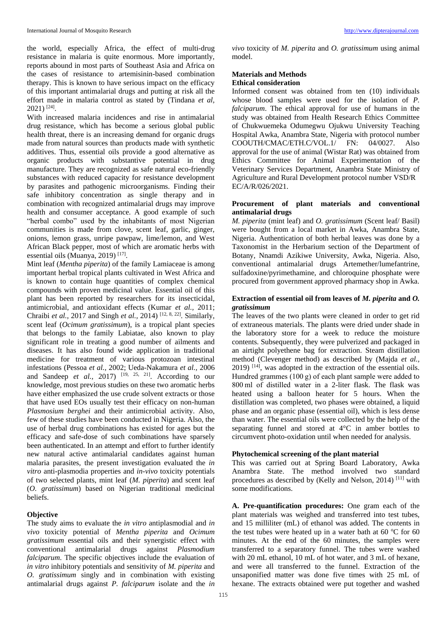the world, especially Africa, the effect of multi-drug resistance in malaria is quite enormous. More importantly, reports abound in most parts of Southeast Asia and Africa on the cases of resistance to artemisinin-based combination therapy. This is known to have serious impact on the efficacy of this important antimalarial drugs and putting at risk all the effort made in malaria control as stated by (Tindana *et al,* 2021) [24] .

With increased malaria incidences and rise in antimalarial drug resistance, which has become a serious global public health threat, there is an increasing demand for organic drugs made from natural sources than products made with synthetic additives. Thus, essential oils provide a good alternative as organic products with substantive potential in drug manufacture. They are recognized as safe natural eco-friendly substances with reduced capacity for resistance development by parasites and pathogenic microorganisms. Finding their safe inhibitory concentration as single therapy and in combination with recognized antimalarial drugs may improve health and consumer acceptance. A good example of such "herbal combo" used by the inhabitants of most Nigerian communities is made from clove, scent leaf, garlic, ginger, onions, lemon grass, unripe pawpaw, lime/lemon, and West African Black pepper, most of which are aromatic herbs with essential oils (Muanya, 2019)<sup>[17]</sup>.

Mint leaf (*Mentha piperita*) of the family Lamiaceae is among important herbal tropical plants cultivated in West Africa and is known to contain huge quantities of complex chemical compounds with proven medicinal value. Essential oil of this plant has been reported by researchers for its insecticidal, antimicrobial, and antioxidant effects (Kumar *et al.,* 2011; Chraibi *et al.,* 2017 and Singh *et al.,* 2014) [12, 8, 22] . Similarly, scent leaf (*Ocimum gratissimum*), is a tropical plant species that belongs to the family Labiatae, also known to play significant role in treating a good number of ailments and diseases. It has also found wide application in traditional medicine for treatment of various protozoan intestinal infestations (Pessoa *et al.,* 2002; Ueda-Nakamura *et al.,* 2006 and Sandeep *et al.*, 2017) <sup>[19, 25, 21]. According to our</sup> knowledge, most previous studies on these two aromatic herbs have either emphasized the use crude solvent extracts or those that have used EOs usually test their efficacy on non-human *Plasmosium berghei* and their antimicrobial activity. Also, few of these studies have been conducted in Nigeria. Also, the use of herbal drug combinations has existed for ages but the efficacy and safe-dose of such combinations have sparsely been authenticated. In an attempt and effort to further identify new natural active antimalarial candidates against human malaria parasites, the present investigation evaluated the *in vitro* anti-plasmodia properties and *in-vivo* toxicity potentials of two selected plants, mint leaf (*M. piperita*) and scent leaf (*O. gratissimum*) based on Nigerian traditional medicinal beliefs.

## **Objective**

The study aims to evaluate the *in vitro* antiplasmodial and *in vivo* toxicity potential of *Mentha piperita* and *Ocimum gratissimum* essential oils and their synergistic effect with conventional antimalarial drugs against *Plasmodium falciparum*. The specific objectives include the evaluation of *in vitro* inhibitory potentials and sensitivity of *M. piperita* and *O. gratissimum* singly and in combination with existing antimalarial drugs against *P. falciparum* isolate and the *in*  *vivo* toxicity of *M. piperita* and *O. gratissimum* using animal model.

### **Materials and Methods Ethical consideration**

Informed consent was obtained from ten (10) individuals whose blood samples were used for the isolation of *P. falciparum*. The ethical approval for use of humans in the study was obtained from Health Research Ethics Committee of Chukwuemeka Odumegwu Ojukwu University Teaching Hospital Awka, Anambra State, Nigeria with protocol number COOUTH/CMAC/ETH.C/VOL.1/ FN: 04/0027. Also approval for the use of animal (Wistar Rat) was obtained from Ethics Committee for Animal Experimentation of the Veterinary Services Department, Anambra State Ministry of Agriculture and Rural Development protocol number VSD/R EC/A/R/026/2021.

## **Procurement of plant materials and conventional antimalarial drugs**

*M. piperita* (mint leaf) and *O. gratissimum* (Scent leaf/ Basil) were bought from a local market in Awka, Anambra State, Nigeria. Authentication of both herbal leaves was done by a Taxonomist in the Herbarium section of the Department of Botany, Nnamdi Azikiwe University, Awka, Nigeria. Also, conventional antimalarial drugs Artemether/lumefantrine, sulfadoxine/pyrimethamine, and chloroquine phosphate were procured from government approved pharmacy shop in Awka.

## **Extraction of essential oil from leaves of** *M. piperita* **and** *O. gratissimum*

The leaves of the two plants were cleaned in order to get rid of extraneous materials. The plants were dried under shade in the laboratory store for a week to reduce the moisture contents. Subsequently, they were pulverized and packaged in an airtight polyethene bag for extraction. Steam distillation method (Clevenger method) as described by (Majda *et al.,*  2019) [14], was adopted in the extraction of the essential oils. Hundred grammes (100 g) of each plant sample were added to 800 ml of distilled water in a 2-liter flask. The flask was heated using a balloon heater for 5 hours. When the distillation was completed, two phases were obtained, a liquid phase and an organic phase (essential oil), which is less dense than water. The essential oils were collected by the help of the separating funnel and stored at 4°C in amber bottles to circumvent photo-oxidation until when needed for analysis.

## **Phytochemical screening of the plant material**

This was carried out at Spring Board Laboratory, Awka Anambra State. The method involved two standard procedures as described by (Kelly and Nelson, 2014) [11] with some modifications.

**A. Pre-quantification procedures:** One gram each of the plant materials was weighed and transferred into test tubes, and 15 milliliter (mL) of ethanol was added. The contents in the test tubes were heated up in a water bath at 60  $\degree$ C for 60 minutes. At the end of the 60 minutes, the samples were transferred to a separatory funnel. The tubes were washed with 20 mL ethanol, 10 mL of hot water, and 3 mL of hexane, and were all transferred to the funnel. Extraction of the unsaponified matter was done five times with 25 mL of hexane. The extracts obtained were put together and washed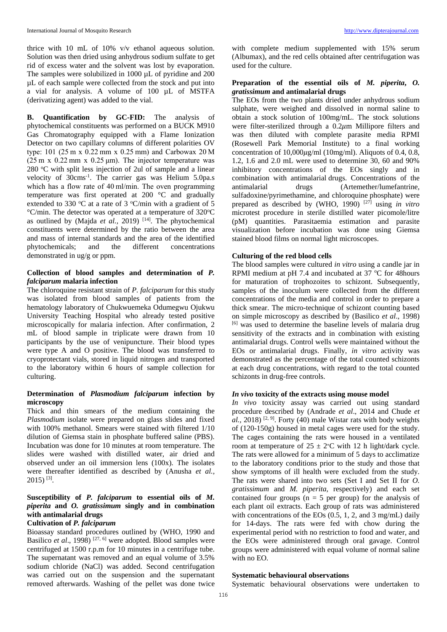thrice with 10 mL of 10% v/v ethanol aqueous solution. Solution was then dried using anhydrous sodium sulfate to get rid of excess water and the solvent was lost by evaporation. The samples were solubilized in 1000  $\mu$ L of pyridine and 200 µL of each sample were collected from the stock and put into a vial for analysis. A volume of 100 µL of MSTFA (derivatizing agent) was added to the vial.

**B. Quantification by GC-FID:** The analysis of phytochemical constituents was performed on a BUCK M910 Gas Chromatography equipped with a Flame Ionization Detector on two capillary columns of different polarities OV type: 101 (25 m x 0.22 mm x 0.25 mm) and Carbowax 20 M  $(25 \text{ m} \times 0.22 \text{ mm} \times 0.25 \text{ \mu m})$ . The injector temperature was  $280$  °C with split less injection of 2ul of sample and a linear velocity of 30cms-1 . The carrier gas was Helium 5.0pa.s which has a flow rate of 40 ml/min. The oven programming temperature was first operated at 200 °C and gradually extended to 330  $\mathrm{C}$  at a rate of 3  $\mathrm{C/min}$  with a gradient of 5  $\rm ^{\circ}C/m$ in. The detector was operated at a temperature of 320 $\rm ^{\circ}C$ as outlined by (Majda *et al.*, 2019)<sup>[14]</sup>. The phytochemical constituents were determined by the ratio between the area and mass of internal standards and the area of the identified phytochemicals; and the different concentrations demonstrated in ug/g or ppm.

## **Collection of blood samples and determination of** *P. falciparum* **malaria infection**

The chloroquine resistant strain of *P. falciparum* for this study was isolated from blood samples of patients from the hematology laboratory of Chukwuemeka Odumegwu Ojukwu University Teaching Hospital who already tested positive microscopically for malaria infection. After confirmation, 2 mL of blood sample in triplicate were drawn from 10 participants by the use of venipuncture. Their blood types were type A and O positive. The blood was transferred to cryoprotectant vials, stored in liquid nitrogen and transported to the laboratory within 6 hours of sample collection for culturing.

## **Determination of** *Plasmodium falciparum* **infection by microscopy**

Thick and thin smears of the medium containing the *Plasmodium* isolate were prepared on glass slides and fixed with 100% methanol. Smears were stained with filtered 1/10 dilution of Giemsa stain in phosphate buffered saline (PBS). Incubation was done for 10 minutes at room temperature. The slides were washed with distilled water, air dried and observed under an oil immersion lens (100x). The isolates were thereafter identified as described by (Anusha *et al.,*   $2015$ ) [3].

## **Susceptibility of** *P. falciparum* **to essential oils of** *M. piperita* **and** *O. gratissimum* **singly and in combination with antimalarial drugs**

## **Cultivation of** *P. falciparum*

Bioassay standard procedures outlined by (WHO, 1990 and Basilico *et al.*, 1998)<sup>[27, 6]</sup> were adopted. Blood samples were centrifuged at 1500 r.p.m for 10 minutes in a centrifuge tube. The supernatant was removed and an equal volume of 3.5% sodium chloride (NaCl) was added. Second centrifugation was carried out on the suspension and the supernatant removed afterwards. Washing of the pellet was done twice

with complete medium supplemented with 15% serum (Albumax), and the red cells obtained after centrifugation was used for the culture.

## **Preparation of the essential oils of** *M. piperita***,** *O. gratissimum* **and antimalarial drugs**

The EOs from the two plants dried under anhydrous sodium sulphate, were weighed and dissolved in normal saline to obtain a stock solution of 100mg/mL. The stock solutions were filter-sterilized through a  $0.2\mu$ m Millipore filters and was then diluted with complete parasite media RPMI (Rosewell Park Memorial Institute) to a final working concentration of  $10,000\mu\text{g/ml}$  (10mg/ml). Aliquots of 0.4, 0.8, 1.2, 1.6 and 2.0 mL were used to determine 30, 60 and 90% inhibitory concentrations of the EOs singly and in combination with antimalarial drugs. Concentrations of the antimalarial drugs (Artemether/lumefantrine, sulfadoxine/pyrimethamine, and chloroquine phosphate) were prepared as described by (WHO, 1990) [27] using *in vitro* microtest procedure in sterile distilled water picomole/litre (pM) quantities. Parasitaemia estimation and parasite visualization before incubation was done using Giemsa stained blood films on normal light microscopes.

## **Culturing of the red blood cells**

The blood samples were cultured *in vitro* using a candle jar in RPMI medium at pH 7.4 and incubated at 37  $\,^{\circ}$ C for 48hours for maturation of trophozoites to schizont. Subsequently, samples of the inoculum were collected from the different concentrations of the media and control in order to prepare a thick smear. The micro-technique of schizont counting based on simple microscopy as described by (Basilico *et al*., 1998) [6] was used to determine the baseline levels of malaria drug sensitivity of the extracts and in combination with existing antimalarial drugs. Control wells were maintained without the EOs or antimalarial drugs. Finally, *in vitro* activity was demonstrated as the percentage of the total counted schizonts at each drug concentrations, with regard to the total counted schizonts in drug-free controls.

## *In vivo* **toxicity of the extracts using mouse model**

*In vivo* toxicity assay was carried out using standard procedure described by (Andrade *et al*., 2014 and Chude *et*   $a$ l., 2018) <sup>[2, 9]</sup>. Forty (40) male Wistar rats with body weights of (120-150g) housed in metal cages were used for the study. The cages containing the rats were housed in a ventilated room at temperature of  $25 \pm 2$ °C with 12 h light/dark cycle. The rats were allowed for a minimum of 5 days to acclimatize to the laboratory conditions prior to the study and those that show symptoms of ill health were excluded from the study. The rats were shared into two sets (Set I and Set II for *O. gratissimum* and *M. piperita*, respectively) and each set contained four groups  $(n = 5$  per group) for the analysis of each plant oil extracts. Each group of rats was administered with concentrations of the EOs  $(0.5, 1, 2, \text{ and } 3 \text{ mg/mL})$  daily for 14-days. The rats were fed with chow during the experimental period with no restriction to food and water, and the EOs were administered through oral gavage. Control groups were administered with equal volume of normal saline with no EO.

## **Systematic behavioural observations**

Systematic behavioural observations were undertaken to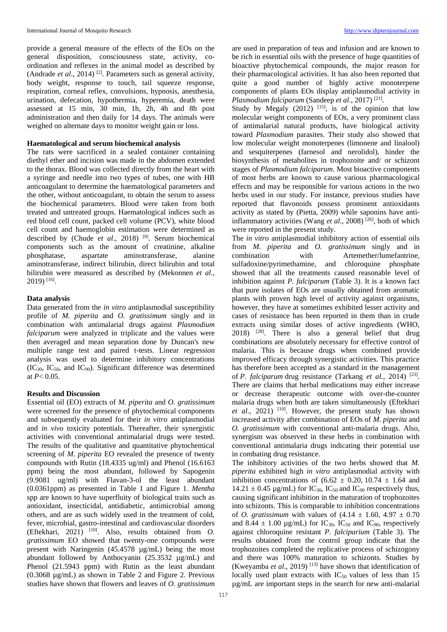provide a general measure of the effects of the EOs on the general disposition, consciousness state, activity, coordination and reflexes in the animal model as described by (Andrade *et al*., 2014) [2]. Parameters such as general activity, body weight, response to touch, tail squeeze response, respiration, corneal reflex, convulsions, hypnosis, anesthesia, urination, defecation, hypothermia, hyperemia, death were assessed at 15 min, 30 min, 1h, 2h, 4h and 8h post administration and then daily for 14 days. The animals were weighed on alternate days to monitor weight gain or loss.

## **Haematological and serum biochemical analysis**

The rats were sacrificed in a sealed container containing diethyl ether and incision was made in the abdomen extended to the thorax. Blood was collected directly from the heart with a syringe and needle into two types of tubes, one with HB anticoagulant to determine the haematological parameters and the other, without anticoagulant, to obtain the serum to assess the biochemical parameters. Blood were taken from both treated and untreated groups. Haematological indices such as red blood cell count, packed cell volume (PCV), white blood cell count and haemoglobin estimation were determined as described by (Chude *et al*., 2018) [9]. Serum biochemical components such as the amount of creatinine, alkaline phosphatase, aspartate aminotransferase, alanine aminotransferase, indirect bilirubin, direct bilirubin and total bilirubin were measured as described by (Mekonnen *et al*., 2019) [16] .

#### **Data analysis**

Data generated from the *in vitro* antiplasmodial susceptibility profile of *M. piperita* and *O. gratissimum* singly and in combination with antimalarial drugs against *Plasmodium falciparum* were analyzed in triplicate and the values were then averaged and mean separation done by Duncan's new multiple range test and paired t-tests. Linear regression analysis was used to determine inhibitory concentrations  $(IC_{30}, IC_{50}, and IC_{90})$ . Significant difference was determined at  $P < 0.05$ .

## **Results and Discussion**

Essential oil (EO) extracts of *M. piperita* and *O. gratissimum* were screened for the presence of phytochemical components and subsequently evaluated for their *in vitro* antiplasmodial and *in vivo* toxicity potentials. Thereafter, their synergistic activities with conventional antimalarial drugs were tested. The results of the qualitative and quantitative phytochemical screening of *M. piperita* EO revealed the presence of twenty compounds with Rutin (18.4335 ug/ml) and Phenol (16.6163 ppm) being the most abundant, followed by Sapogenin (9.9081 ug/ml) with Flavan-3-ol the least abundant (0.0361ppm) as presented in Table 1 and Figure 1. *Mentha* spp are known to have superfluity of biological traits such as antioxidant, insecticidal, antidiabetic, antimicrobial among others, and are as such widely used in the treatment of cold, fever, microbial, gastro-intestinal and cardiovascular disorders (Eftekhari, 2021) [10]. Also, results obtained from *O. gratissimum* EO showed that twenty-one compounds were present with Naringenin (45.4578 µg/mL) being the most abundant followed by Anthocyanin (25.3532 µg/mL) and Phenol (21.5943 ppm) with Rutin as the least abundant (0.3068 µg/mL) as shown in Table 2 and Figure 2. Previous studies have shown that flowers and leaves of *O. gratissimum*

are used in preparation of teas and infusion and are known to be rich in essential oils with the presence of huge quantities of bioactive phytochemical compounds, the major reason for their pharmacological activities. It has also been reported that quite a good number of highly active monoterpene components of plants EOs display antiplasmodial activity in *Plasmodium falciparum* (Sandeep *et al*., 2017) [21] .

Study by Megaly  $(2012)$  <sup>[15]</sup>, is of the opinion that low molecular weight components of EOs, a very prominent class of antimalarial natural products, have biological activity toward *Plasmodium* parasites. Their study also showed that low molecular weight monoterpenes (limonene and linalool) and sesquiterpenes (farnesol and nerolidol), hinder the biosynthesis of metabolites in trophozoite and/ or schizont stages of *Plasmodium falciparum*. Most bioactive components of most herbs are known to cause various pharmacological effects and may be responsible for various actions in the two herbs used in our study. For instance, previous studies have reported that flavonoids possess prominent antioxidants activity as stated by (Pietta, 2009) while saponins have antiinflammatory activities (Wang *et al.*, 2008)  $[26]$ , both of which were reported in the present study.

The *in vitro* antiplasmodial inhibitory action of essential oils from *M. piperita* and *O. gratissimum* singly and in combination with Artemether/lumefantrine, sulfadoxine/pyrimethamine, and chloroquine phosphate showed that all the treatments caused reasonable level of inhibition against *P. falciparum* (Table 3). It is a known fact that pure isolates of EOs are usually obtained from aromatic plants with proven high level of activity against organisms, however, they have at sometimes exhibited lesser activity and cases of resistance has been reported in them than in crude extracts using similar doses of active ingredients (WHO, 2018) [28]. There is also a general belief that drug combinations are absolutely necessary for effective control of malaria. This is because drugs when combined provide improved efficacy through synergistic activities. This practice has therefore been accepted as a standard in the management of *P. falciparum* drug resistance (Tarkang *et al.,* 2014)<sup>[23]</sup>. There are claims that herbal medications may either increase or decrease therapeutic outcome with over-the-counter malaria drugs when both are taken simultaneously (Eftekhari *et al*., 2021) [10]. However, the present study has shown increased activity after combination of EOs of *M. piperita* and *O. gratissimum* with conventional anti-malaria drugs. Also, synergism was observed in these herbs in combination with conventional antimalaria drugs indicating their potential use in combating drug resistance.

The inhibitory activities of the two herbs showed that *M. piperita* exhibited high *in vitro* antiplasmodial activity with inhibition concentrations of  $(6.62 \pm 0.20, 10.74 \pm 1.64)$  and  $14.21 \pm 0.45$  µg/mL) for IC<sub>30</sub>, IC<sub>50</sub> and IC<sub>90</sub> respectively thus, causing significant inhibition in the maturation of trophozoites into schizonts. This is comparable to inhibition concentrations of *O. gratissimum* with values of  $(4.14 \pm 1.60, 4.97 \pm 0.70)$ and 8.44  $\pm$  1.00 µg/mL) for IC<sub>30</sub>, IC<sub>50</sub> and IC<sub>90</sub>, respectively against chloroquine resistant *P. falciparium* (Table 3). The results obtained from the control group indicate that the trophozoites completed the replicative process of schizogony and there was 100% maturation to schizonts. Studies by (Kweyamba *et al*., 2019) [13] have shown that identification of locally used plant extracts with  $IC_{50}$  values of less than 15 µg/mL are important steps in the search for new anti-malarial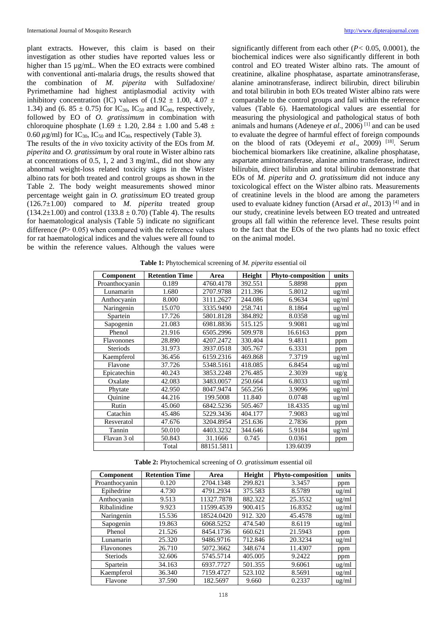plant extracts. However, this claim is based on their investigation as other studies have reported values less or higher than 15 µg/mL. When the EO extracts were combined with conventional anti-malaria drugs, the results showed that the combination of *M. piperita* with Sulfadoxine/ Pyrimethamine had highest antiplasmodial activity with inhibitory concentration (IC) values of (1.92  $\pm$  1.00, 4.07  $\pm$ 1.34) and (6. 85  $\pm$  0.75) for IC<sub>30</sub>, IC<sub>50</sub> and IC<sub>90</sub>, respectively, followed by EO of *O. gratissimum* in combination with chloroquine phosphate (1.69  $\pm$  1.20, 2.84  $\pm$  1.00 and 5.48  $\pm$ 0.60  $\mu$ g/ml) for IC<sub>30</sub>, IC<sub>50</sub> and IC<sub>90</sub>, respectively (Table 3).

The results of the *in vivo* toxicity activity of the EOs from *M. piperita* and *O. gratissimum* by oral route in Wister albino rats at concentrations of 0.5, 1, 2 and 3 mg/mL, did not show any abnormal weight-loss related toxicity signs in the Wister albino rats for both treated and control groups as shown in the Table 2. The body weight measurements showed minor percentage weight gain in *O. gratissimum* EO treated group (126.7±1.00) compared to *M. piperita* treated group  $(134.2\pm1.00)$  and control  $(133.8 \pm 0.70)$  (Table 4). The results for haematological analysis (Table 5) indicate no significant difference  $(P > 0.05)$  when compared with the reference values for rat haematological indices and the values were all found to be within the reference values. Although the values were

significantly different from each other (*P<* 0.05, 0.0001), the biochemical indices were also significantly different in both control and EO treated Wister albino rats. The amount of creatinine, alkaline phosphatase, aspartate aminotransferase, alanine aminotransferase, indirect bilirubin, direct bilirubin and total bilirubin in both EOs treated Wister albino rats were comparable to the control groups and fall within the reference values (Table 6). Haematological values are essential for measuring the physiological and pathological status of both animals and humans (Adeneye *et al*., 2006) [1] and can be used to evaluate the degree of harmful effect of foreign compounds on the blood of rats (Odeyemi *et al*., 2009) [18]. Serum biochemical biomarkers like creatinine, alkaline phosphatase, aspartate aminotransferase, alanine amino transferase, indirect bilirubin, direct bilirubin and total bilirubin demonstrate that EOs of *M. piperita* and *O. gratissimum* did not induce any toxicological effect on the Wister albino rats. Measurements of creatinine levels in the blood are among the parameters used to evaluate kidney function (Arsad *et al.*, 2013)<sup>[4]</sup> and in our study, creatinine levels between EO treated and untreated groups all fall within the reference level. These results point to the fact that the EOs of the two plants had no toxic effect on the animal model.

| $\cdot$ $\cdot$ $\cdot$ |                       |            |         |                   |                 |  |  |
|-------------------------|-----------------------|------------|---------|-------------------|-----------------|--|--|
| Component               | <b>Retention Time</b> | Area       | Height  | Phyto-composition | units           |  |  |
| Proanthocyanin          | 0.189                 | 4760.4178  | 392.551 | 5.8898            | ppm             |  |  |
| Lunamarin               | 1.680                 | 2707.9788  | 211.396 | 5.8012            | $\frac{u g}{m}$ |  |  |
| Anthocyanin             | 8.000                 | 3111.2627  | 244.086 | 6.9634            | $\frac{u g}{m}$ |  |  |
| Naringenin              | 15.070                | 3335.9490  | 258.741 | 8.1864            | $\frac{u g}{m}$ |  |  |
| Spartein                | 17.726                | 5801.8128  | 384.892 | 8.0358            | $\frac{u g}{m}$ |  |  |
| Sapogenin               | 21.083                | 6981.8836  | 515.125 | 9.9081            | ug/ml           |  |  |
| Phenol                  | 21.916                | 6505.2996  | 509.978 | 16.6163           | ppm             |  |  |
| Flavonones              | 28.890                | 4207.2472  | 330.404 | 9.4811            | ppm             |  |  |
| Steriods                | 31.973                | 3937.0518  | 305.767 | 6.3331            | ppm             |  |  |
| Kaempferol              | 36.456                | 6159.2316  | 469.868 | 7.3719            | $\frac{u g}{m}$ |  |  |
| Flavone                 | 37.726                | 5348.5161  | 418.085 | 6.8454            | $\frac{u g}{m}$ |  |  |
| Epicatechin             | 40.243                | 3853.2248  | 276.485 | 2.3039            | $\frac{u g}{g}$ |  |  |
| Oxalate                 | 42.083                | 3483.0057  | 250.664 | 6.8033            | $\frac{u g}{m}$ |  |  |
| Phytate                 | 42.950                | 8047.9474  | 565.256 | 3.9096            | $\frac{u g}{m}$ |  |  |
| Ouinine                 | 44.216                | 199.5008   | 11.840  | 0.0748            | $\frac{u g}{m}$ |  |  |
| Rutin                   | 45.060                | 6842.5236  | 505.467 | 18.4335           | $\frac{u g}{m}$ |  |  |
| Catachin                | 45.486                | 5229.3436  | 404.177 | 7.9083            | $\frac{u g}{m}$ |  |  |
| Resveratol              | 47.676                | 3204.8954  | 251.636 | 2.7836            | ppm             |  |  |
| Tannin                  | 50.010                | 4403.3232  | 344.646 | 5.9184            | ug/ml           |  |  |
| Flavan 3 ol             | 50.843                | 31.1666    | 0.745   | 0.0361            | ppm             |  |  |
|                         | Total                 | 88151.5811 |         | 139.6039          |                 |  |  |

**Table 1:** Phytochemical screening of *M. piperita* essential oil

**Table 2:** Phytochemical screening of *O. gratissimum* essential oil

| Component       | <b>Retention Time</b> | Area       | Height  | Phyto-composition | units           |
|-----------------|-----------------------|------------|---------|-------------------|-----------------|
| Proanthocyanin  | 0.120                 | 2704.1348  | 299.821 | 3.3457            | ppm             |
| Epihedrine      | 4.730                 | 4791.2934  | 375.583 | 8.5789            | $\frac{u g}{m}$ |
| Anthocyanin     | 9.513                 | 11327.7878 | 882.322 | 25.3532           | ug/ml           |
| Ribalinidine    | 9.923                 | 11599.4539 | 900.415 | 16.8352           | ug/ml           |
| Naringenin      | 15.536                | 18524.0420 | 912.320 | 45.4578           | $\frac{u g}{m}$ |
| Sapogenin       | 19.863                | 6068.5252  | 474.540 | 8.6119            | ug/ml           |
| Phenol          | 21.526                | 8454.1736  | 660.621 | 21.5943           | ppm             |
| Lunamarin       | 25.320                | 9486.9716  | 712.846 | 20.3234           | $\frac{u g}{m}$ |
| Flavonones      | 26.710                | 5072.3662  | 348.674 | 11.4307           | ppm             |
| <b>Steriods</b> | 32.606                | 5745.5714  | 405.005 | 9.2422            | ppm             |
| Spartein        | 34.163                | 6937.7727  | 501.355 | 9.6061            | ug/ml           |
| Kaempferol      | 36.340                | 7159.4727  | 523.102 | 8.5691            | $\frac{u g}{m}$ |
| Flavone         | 37.590                | 182.5697   | 9.660   | 0.2337            | ug/ml           |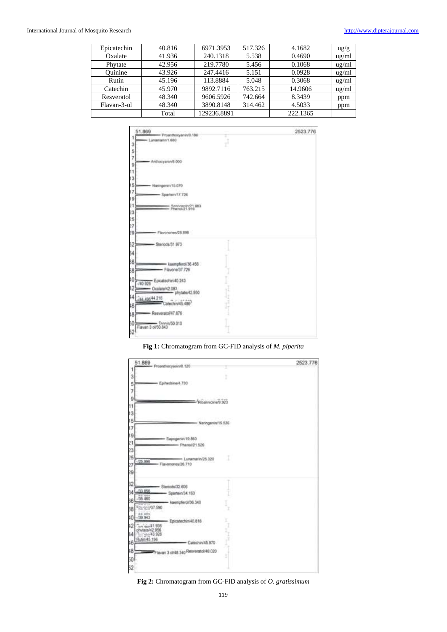## International Journal of Mosquito Research [http://www.dipterajournal.com](http://www.dipterajournal.com/)

| Epicatechin | 40.816 | 6971.3953   | 517.326 | 4.1682   | $\frac{u g}{g}$ |
|-------------|--------|-------------|---------|----------|-----------------|
| Oxalate     | 41.936 | 240.1318    | 5.538   | 0.4690   | ug/ml           |
| Phytate     | 42.956 | 219.7780    | 5.456   | 0.1068   | ug/ml           |
| Ouinine     | 43.926 | 247.4416    | 5.151   | 0.0928   | ug/ml           |
| Rutin       | 45.196 | 113.8884    | 5.048   | 0.3068   | ug/ml           |
| Catechin    | 45.970 | 9892.7116   | 763.215 | 14.9606  | ug/ml           |
| Resveratol  | 48.340 | 9606.5926   | 742.664 | 8.3439   | ppm             |
| Flavan-3-ol | 48.340 | 3890.8148   | 314.462 | 4.5033   | ppm             |
|             | Total  | 129236.8891 |         | 222.1365 |                 |



## **Fig 1:** Chromatogram from GC-FID analysis of *M. piperita*



**Fig 2:** Chromatogram from GC-FID analysis of *O. gratissimum*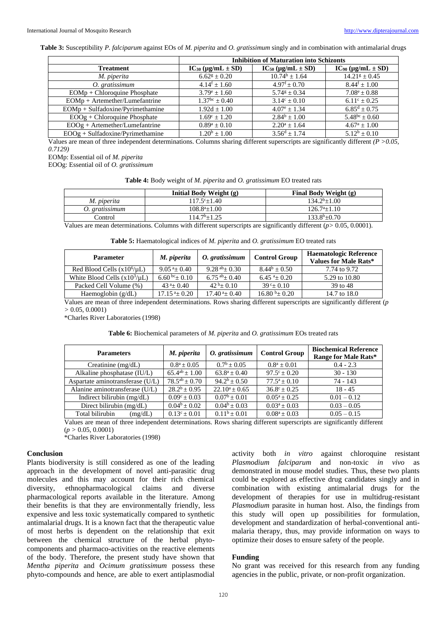**Table 3:** Susceptibility *P. falciparum* against EOs of *M. piperita* and *O. gratissimum* singly and in combination with antimalarial drugs

|                                    | <b>Inhibition of Maturation into Schizonts</b> |                                  |                                  |  |
|------------------------------------|------------------------------------------------|----------------------------------|----------------------------------|--|
| <b>Treatment</b>                   | $IC_{30} (\mu g/mL \pm SD)$                    | $IC_{50}$ ( $\mu$ g/mL $\pm$ SD) | $IC_{90}$ ( $\mu$ g/mL $\pm$ SD) |  |
| M. piperita                        | $6.62$ <sup>g</sup> $\pm$ 0.20                 | $10.74^{\rm h} + 1.64$           | $14.21^g \pm 0.45$               |  |
| O. gratissimum                     | $4.14$ <sup>f</sup> + 1.60                     | $4.97^{\rm f} + 0.70^{\rm f}$    | $8.44$ <sup>f</sup> + 1.00       |  |
| EOMp + Chloroquine Phosphate       | $3.79^e + 1.60$                                | $5.74$ <sup>g</sup> + 0.34       | $7.08^{\circ} \pm 0.88$          |  |
| $EOMp + Artemether/Lumefantrine$   | $1.37bc + 0.40$                                | $3.14^{\circ} + 0.10$            | $6.11^{\circ} \pm 0.25$          |  |
| $EOMp + Sulfadoxine/Pyrimethamine$ | $1.92d + 1.00$                                 | $4.07^{\circ} + 1.34$            | $6.85^d + 0.75$                  |  |
| $EOOg + Chloro$ quine Phosphate    | $1.69^{\circ} \pm 1.20$                        | $2.84^b \pm 1.00$                | $5.48^{bc} \pm 0.60$             |  |
| $EOOg + Artemether/Lumefantrine$   | $0.89^a + 0.10$                                | $2.20^a + 1.64$                  | $4.67^a + 1.00$                  |  |
| $EOOg + Sulfadoxine/Pyrimethamine$ | $1.20^b \pm 1.00$                              | $3.56^d + 1.74$                  | $5.12^b + 0.10$                  |  |

Values are mean of three independent determinations. Columns sharing different superscripts are significantly different *(P >0.05, 0.7129)*

EOMp: Essential oil of *M. piperita*

EOOg: Essential oil of *O. gratissimum*

|  | Table 4: Body weight of M. piperita and O. gratissimum EO treated rats |  |  |  |  |
|--|------------------------------------------------------------------------|--|--|--|--|
|--|------------------------------------------------------------------------|--|--|--|--|

|                | Initial Body Weight (g) | <b>Final Body Weight (g)</b> |
|----------------|-------------------------|------------------------------|
| M. piperita    | $117.5^{\circ}+1.40$    | $134.2^{b+1.00}$             |
| O. gratissimum | $108.8^{a}+1.00$        | $126.7^{a+1}.10$             |
| Control        | $114.7^{\rm b} + 1.25$  | $133.8^{b+0.70}$             |

Values are mean determinations. Columns with different superscripts are significantly different (*p>* 0.05, 0.0001).

| <b>Parameter</b>                  | M. piperita                  | O. gratissimum     | <b>Control Group</b>         | <b>Haematologic Reference</b><br><b>Values for Male Rats*</b> |
|-----------------------------------|------------------------------|--------------------|------------------------------|---------------------------------------------------------------|
| Red Blood Cells $(x10^6/\mu L)$   | $9.05^{a} + 0.40$            | $9.28^{ab}+0.30$   | $8.44^b + 0.50$              | 7.74 to 9.72                                                  |
| White Blood Cells $(x10^3/\mu L)$ | 6.60 <sup>bc</sup> +0.10     | $6.75^{ab} + 0.40$ | $6.45^{a}+0.20$              | 5.29 to 10.80                                                 |
| Packed Cell Volume (%)            | $43^{\text{a}} + 0.40$       | $42^{b}$ + 0.10    | $39c+0.10$                   | 39 to 48                                                      |
| Haemoglobin (g/dL)                | $17.15^{\text{ a}} \pm 0.20$ | $17.40^{a} + 0.40$ | $16.80 \text{ b}_{\pm} 0.20$ | 14.7 to 18.0                                                  |

Values are mean of three independent determinations. Rows sharing different superscripts are significantly different (*p >* 0.05, 0.0001)

\*Charles River Laboratories (1998)

**Table 6:** Biochemical parameters of *M. piperita* and *O. gratissimum* EOs treated rats

| <b>Parameters</b>                | M. piperita              | O. gratissimum        | <b>Control Group</b>  | <b>Biochemical Reference</b><br>Range for Male Rats* |
|----------------------------------|--------------------------|-----------------------|-----------------------|------------------------------------------------------|
| Creatinine $(mg/dL)$             | $0.8^a \pm 0.05$         | $0.7^{\rm b}$ + 0.05  | $0.8^a + 0.01$        | $0.4 - 2.3$                                          |
| Alkaline phosphatase (IU/L)      | $65.4^{ab} \pm 1.00$     | $63.8^a + 0.40$       | $97.5^{\circ} + 0.20$ | $30 - 130$                                           |
| Aspartate aminotransferase (U/L) | $78.5^{ab} \pm 0.70$     | $94.2^b + 0.50$       | $77.5^a + 0.10$       | 74 - 143                                             |
| Alanine aminotransferase (U/L)   | $\sqrt{28.2^b} \pm 0.95$ | $22.10^a + 0.65$      | $36.8^{\circ} + 0.25$ | $18 - 45$                                            |
| Indirect bilirubin (mg/dL)       | $0.09^{\circ} \pm 0.03$  | $0.07^{\rm b}$ + 0.01 | $0.05^a \pm 0.25$     | $0.01 - 0.12$                                        |
| Direct bilirubin $(mg/dL)$       | $0.04^b \pm 0.02$        | $0.04^b + 0.03$       | $0.03^a + 0.03$       | $0.03 - 0.05$                                        |
| Total bilirubin<br>(mg/dL)       | $0.13^{\circ} \pm 0.01$  | $0.11b + 0.01$        | $0.08^a \pm 0.03$     | $0.05 - 0.15$                                        |

Values are mean of three independent determinations. Rows sharing different superscripts are significantly different (*p >* 0.05, 0.0001)

\*Charles River Laboratories (1998)

#### **Conclusion**

Plants biodiversity is still considered as one of the leading approach in the development of novel anti-parasitic drug molecules and this may account for their rich chemical diversity, ethnopharmacological claims and diverse pharmacological reports available in the literature. Among their benefits is that they are environmentally friendly, less expensive and less toxic systematically compared to synthetic antimalarial drugs. It is a known fact that the therapeutic value of most herbs is dependent on the relationship that exit between the chemical structure of the herbal phytocomponents and pharmaco-activities on the reactive elements of the body. Therefore, the present study have shown that *Mentha piperita* and *Ocimum gratissimum* possess these phyto-compounds and hence, are able to exert antiplasmodial activity both *in vitro* against chloroquine resistant *Plasmodium falciparum* and non-toxic *in vivo* as demonstrated in mouse model studies. Thus, these two plants could be explored as effective drug candidates singly and in combination with existing antimalarial drugs for the development of therapies for use in multidrug-resistant *Plasmodium* parasite in human host. Also, the findings from this study will open up possibilities for formulation, development and standardization of herbal-conventional antimalaria therapy, thus, may provide information on ways to optimize their doses to ensure safety of the people.

## **Funding**

No grant was received for this research from any funding agencies in the public, private, or non-profit organization.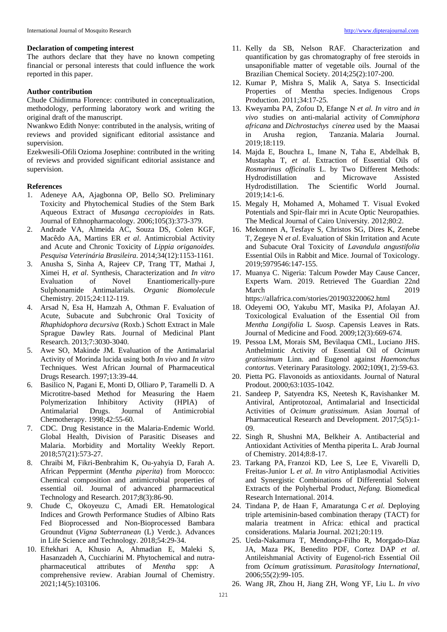#### **Declaration of competing interest**

The authors declare that they have no known competing financial or personal interests that could influence the work reported in this paper.

## **Author contribution**

Chude Chidimma Florence: contributed in conceptualization, methodology, performing laboratory work and writing the original draft of the manuscript.

Nwankwo Edith Nonye: contributed in the analysis, writing of reviews and provided significant editorial assistance and supervision.

Ezekwesili-Ofili Ozioma Josephine: contributed in the writing of reviews and provided significant editorial assistance and supervision.

## **References**

- 1. Adeneye AA, Ajagbonna OP, Bello SO. Preliminary Toxicity and Phytochemical Studies of the Stem Bark Aqueous Extract of *Musanga cecropioides* in Rats. Journal of Ethnopharmacology*.* 2006;105(3):373-379.
- 2. Andrade VA, Almeida AC, Souza DS, Colen KGF, Macêdo AA, Martins ER *et al*. Antimicrobial Activity and Acute and Chronic Toxicity of *Lippia origanoides. Pesquisa Veterinária Brasileira.* 2014;34(12):1153-1161.
- 3. Anusha S, Sinha A, Rajeev CP, Trang TT, Mathai J, Ximei H, *et al*. Synthesis, Characterization and *In vitro* Evaluation of Novel Enantiomerically-pure Sulphonamide Antimalarials. *Organic Biomolecule*  Chemistry. 2015;24:112-119.
- 4. Arsad N, Esa H, Hamzah A, Othman F. Evaluation of Acute, Subacute and Subchronic Oral Toxicity of *Rhaphidophora decursiva* (Roxb.) Schott Extract in Male Sprague Dawley Rats. Journal of Medicinal Plant Research. 2013;7:3030-3040.
- 5. Awe SO, Makinde JM. Evaluation of the Antimalarial Activity of Morinda lucida using both *In vivo* and *In vitro* Techniques. West African Journal of Pharmaceutical Drugs Research. 1997;13:39-44.
- 6. Basilico N, Pagani E, Monti D, Olliaro P, Taramelli D. A Microtitre-based Method for Measuring the Haem Polymerization Inhibitory Activity (HPIA) of Antimalarial Drugs. Journal of Antimicrobial Chemotherapy. 1998;42:55-60.
- 7. CDC. Drug Resistance in the Malaria-Endemic World. Global Health, Division of Parasitic Diseases and Malaria. Morbidity and Mortality Weekly Report. 2018;57(21):573-27.
- 8. Chraibi M, Fikri-Benbrahim K, Ou-yahyia D, Farah A. African Peppermint (*Mentha piperita*) from Morocco: Chemical composition and antimicrobial properties of essential oil. Journal of advanced pharmaceutical Technology and Research. 2017;8(3):86-90.
- 9. Chude C, Okoyeuzu C, Amadi ER. Hematological Indices and Growth Performance Studies of Albino Rats Fed Bioprocessed and Non-Bioprocessed Bambara Groundnut (*Vigna Subterranean* (L) Verdc.). Advances in Life Science and Technology. 2018;54:29-34.
- 10. Eftekhari A, Khusio A, Ahmadian E, Maleki S, Hasanzadeh A, Cucchiarini M. Phytochemical and nutrapharmaceutical attributes of *Mentha* spp: A comprehensive review. Arabian Journal of Chemistry. 2021;14(5):103106.
- 11. Kelly da SB, Nelson RAF. Characterization and quantification by gas chromatography of free steroids in unsaponifiable matter of vegetable oils. Journal of the Brazilian Chemical Society. 2014;25(2):107-200.
- 12. Kumar P, Mishra S, Malik A, Satya S. Insecticidal Properties of Mentha species. Indigenous Crops Production. 2011;34:17-25.
- 13. Kweyamba PA, Zofou D, Efange N *et al. In vitro* and *in vivo* studies on anti-malarial activity of *Commiphora africana* and *Dichrostachys cinerea* used by the Maasai in Arusha region, Tanzania. Malaria Journal. 2019;18:119.
- 14. Majda E, Bouchra L, Imane N, Taha E, Abdelhak B, Mustapha T, *et al*. Extraction of Essential Oils of *Rosmarinus officinalis* L. by Two Different Methods: Hydrodistillation and Microwave Assisted Hydrodistillation. The Scientific World Journal. 2019;14:1-6.
- 15. Megaly H, Mohamed A, Mohamed T. Visual Evoked Potentials and Spir-flair mri in Acute Optic Neuropathies. The Medical Journal of Cairo University*.* 2012;80:2.
- 16. Mekonnen A, Tesfaye S, Christos SG, Dires K, Zenebe T, Zegeye N *et al*. Evaluation of Skin Irritation and Acute and Subacute Oral Toxicity of *Lavandula angustifolia* Essential Oils in Rabbit and Mice. Journal of Toxicology. 2019;5979546:147-155.
- 17. Muanya C. Nigeria: Talcum Powder May Cause Cancer, Experts Warn. 2019. Retrieved The Guardian 22nd March 2019 https://allafrica.com/stories/201903220062.html
- 18. Odeyemi OO, Yakubu MT, Masika PJ, Afolayan AJ. Toxicological Evaluation of the Essential Oil from *Mentha Longifolia* L *Suosp*. Capensis Leaves in Rats. Journal of Medicine and Food*.* 2009;12(3):669-674.
- 19. Pessoa LM, Morais SM, Bevilaqua CML, Luciano JHS. Anthelmintic Activity of Essential Oil of *Ocimum gratissimum* Linn. and Eugenol against *Haemonchus contortus*. Veterinary Parasitology*.* 2002;109(1, 2):59-63.
- 20. Pietta PG. Flavonoids as antioxidants. Journal of Natural Prodout. 2000;63:1035-1042.
- 21. Sandeep P, Satyendra KS, Neetesh K, Ravishanker M. Antiviral, Antiprotozoal, Antimalarial and Insecticidal Activities of *Ocimum gratissimum*. Asian Journal of Pharmaceutical Research and Development*.* 2017;5(5):1- 09.
- 22. Singh R, Shushni MA, Belkheir A. Antibacterial and Antioxidant Activities of Mentha piperita L. Arab Journal of Chemistry. 2014;8:8-17.
- 23. Tarkang PA, Franzoi KD, Lee S, Lee E, Vivarelli D, Freitas-Junior L *et al*. *In vitro* Antiplasmodial Activities and Synergistic Combinations of Differential Solvent Extracts of the Polyherbal Product, *Nefang.* Biomedical Research International. 2014.
- 24. Tindana P, de Haan F, Amaratunga C *et al.* Deploying triple artemisinin-based combination therapy (TACT) for malaria treatment in Africa: ethical and practical considerations. Malaria Journal. 2021;20:119.
- 25. Ueda-Nakamura T, Mendonça-Filho R, Morgado-Díaz JA, Maza PK, Benedito PDF, Cortez DAP *et al*. Antileishmanial Activity of Eugenol-rich Essential Oil from *Ocimum gratissimum*. *Parasitology International*, 2006;55(2):99-105.
- 26. Wang JR, Zhou H, Jiang ZH, Wong YF, Liu L. *In vivo*